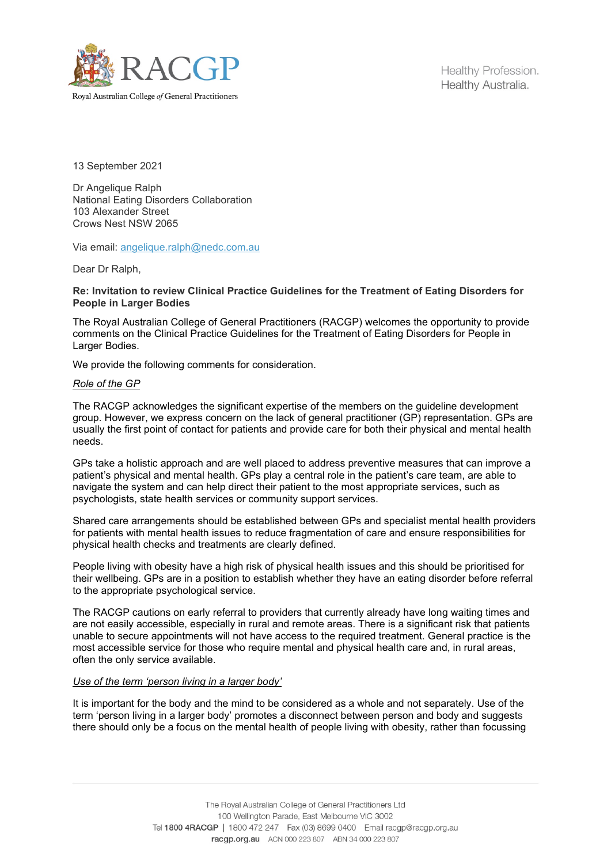

Healthy Profession. Healthy Australia.

13 September 2021

Dr Angelique Ralph National Eating Disorders Collaboration 103 Alexander Street Crows Nest NSW 2065

Via email: [angelique.ralph@nedc.com.au](mailto:angelique.ralph@nedc.com.au)

Dear Dr Ralph,

## **Re: Invitation to review Clinical Practice Guidelines for the Treatment of Eating Disorders for People in Larger Bodies**

The Royal Australian College of General Practitioners (RACGP) welcomes the opportunity to provide comments on the Clinical Practice Guidelines for the Treatment of Eating Disorders for People in Larger Bodies.

We provide the following comments for consideration.

## *Role of the GP*

The RACGP acknowledges the significant expertise of the members on the guideline development group. However, we express concern on the lack of general practitioner (GP) representation. GPs are usually the first point of contact for patients and provide care for both their physical and mental health needs.

GPs take a holistic approach and are well placed to address preventive measures that can improve a patient's physical and mental health. GPs play a central role in the patient's care team, are able to navigate the system and can help direct their patient to the most appropriate services, such as psychologists, state health services or community support services.

Shared care arrangements should be established between GPs and specialist mental health providers for patients with mental health issues to reduce fragmentation of care and ensure responsibilities for physical health checks and treatments are clearly defined.

People living with obesity have a high risk of physical health issues and this should be prioritised for their wellbeing. GPs are in a position to establish whether they have an eating disorder before referral to the appropriate psychological service.

The RACGP cautions on early referral to providers that currently already have long waiting times and are not easily accessible, especially in rural and remote areas. There is a significant risk that patients unable to secure appointments will not have access to the required treatment. General practice is the most accessible service for those who require mental and physical health care and, in rural areas, often the only service available.

## *Use of the term 'person living in a larger body'*

It is important for the body and the mind to be considered as a whole and not separately. Use of the term 'person living in a larger body' promotes a disconnect between person and body and suggests there should only be a focus on the mental health of people living with obesity, rather than focussing